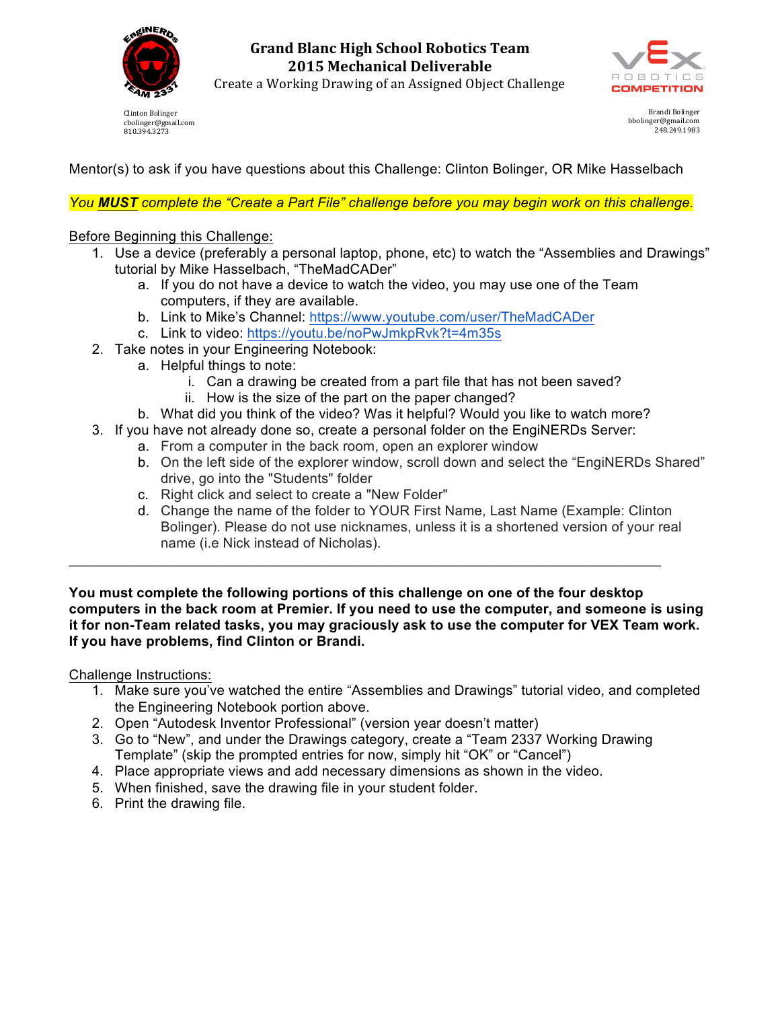

**Grand Blanc High School Robotics Team 2015 Mechanical Deliverable**



Create a Working Drawing of an Assigned Object Challenge

Clinton Bolinger cbolinger@gmail.com 810.394.3273

Brandi Bolinger bbolinger@gmail.com 248.249.1983

Mentor(s) to ask if you have questions about this Challenge: Clinton Bolinger, OR Mike Hasselbach

*You MUST complete the "Create a Part File" challenge before you may begin work on this challenge.*

## Before Beginning this Challenge:

- 1. Use a device (preferably a personal laptop, phone, etc) to watch the "Assemblies and Drawings" tutorial by Mike Hasselbach, "TheMadCADer"
	- a. If you do not have a device to watch the video, you may use one of the Team computers, if they are available.
	- b. Link to Mike's Channel: https://www.youtube.com/user/TheMadCADer
	- c. Link to video: https://youtu.be/noPwJmkpRvk?t=4m35s
- 2. Take notes in your Engineering Notebook:
	- a. Helpful things to note:
		- i. Can a drawing be created from a part file that has not been saved?
		- ii. How is the size of the part on the paper changed?
	- b. What did you think of the video? Was it helpful? Would you like to watch more?
- 3. If you have not already done so, create a personal folder on the EngiNERDs Server:

\_\_\_\_\_\_\_\_\_\_\_\_\_\_\_\_\_\_\_\_\_\_\_\_\_\_\_\_\_\_\_\_\_\_\_\_\_\_\_\_\_\_\_\_\_\_\_\_\_\_\_\_\_\_\_\_\_\_\_\_\_\_\_\_\_\_\_\_\_\_\_\_\_\_\_\_

- a. From a computer in the back room, open an explorer window
- b. On the left side of the explorer window, scroll down and select the "EngiNERDs Shared" drive, go into the "Students" folder
- c. Right click and select to create a "New Folder"
- d. Change the name of the folder to YOUR First Name, Last Name (Example: Clinton Bolinger). Please do not use nicknames, unless it is a shortened version of your real name (i.e Nick instead of Nicholas).

**You must complete the following portions of this challenge on one of the four desktop computers in the back room at Premier. If you need to use the computer, and someone is using it for non-Team related tasks, you may graciously ask to use the computer for VEX Team work. If you have problems, find Clinton or Brandi.**

Challenge Instructions:

- 1. Make sure you've watched the entire "Assemblies and Drawings" tutorial video, and completed the Engineering Notebook portion above.
- 2. Open "Autodesk Inventor Professional" (version year doesn't matter)
- 3. Go to "New", and under the Drawings category, create a "Team 2337 Working Drawing Template" (skip the prompted entries for now, simply hit "OK" or "Cancel")
- 4. Place appropriate views and add necessary dimensions as shown in the video.
- 5. When finished, save the drawing file in your student folder.
- 6. Print the drawing file.